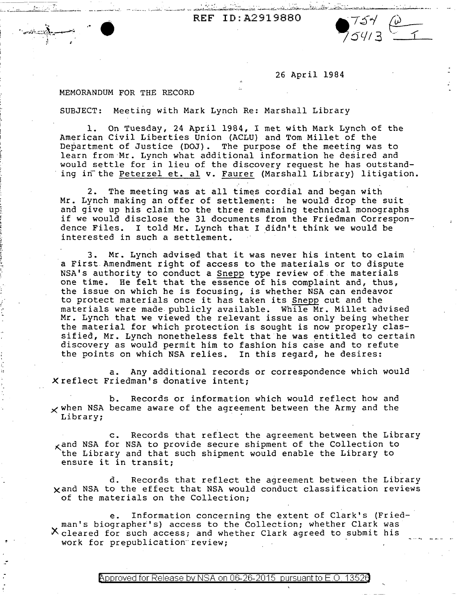REF ID:A2919880  $754 \omega$ 

26 April 1984

 $754/3$   $-1$ 

## MEMORANDUM FOR THE RECORD

' *.1,\_ ..* ...... .

~ ~:

--

·~ ... *.•.* : *\_\_\_\_* .' -~..::: *... :·* .~:-:... . .:.:...-. ..--.:..- ·--\_ ............. ~~:

SUBJECT: Meeting with Mark Lynch Re: Marshall Library

1. On Tuesday, 24 April 1984, I met with Mark Lynch of the American Civil Liberties Union (ACLU) and Tom Millet of the Department of Justice (DOJ) • The purpose of the meeting was to learn from Mr. Lynch what additional information he desired and would settle for in lieu of the discovery request he has outstanding in the Peterzel et. al v. Faurer (Marshall Library) litigation.

2. The meeting was at all times cordial and began with Mr. Lynch making an offer of settlement: he would drop the suit and give up his claim to the three remaining technical monographs if we would disclose the 31 documents from the Friedman Correspondence Files. I told Mr. Lynch that I didn't think we would be interested in such a settlement.

3. Mr. Lynch advised that it was never his intent to claim a First Amendment right of access to the materials or to dispute NSA's authority to conduct a Snepp type review of the materials one time. He felt that the essence of his complaint and, thus, the issue on which he is focusing, is whether NSA can endeavor to protect materials once it has taken its Snepp cut and the materials were made publicly available. While Mr. Millet advised Mr. Lynch that we viewed the relevant issue as only being whether the material for which protection is sought is now properly classified, Mr. Lynch nonetheless felt that he was entitled to certain discovery as would permit him to fashion his case and to refute the points on which NSA relies. In this regard, he desires:

a. Any additional records or correspondence which would *X* reflect Friedman's donative intent;

b. Records or information which would reflect how and  $\times$  when NSA became aware of the agreement between the Army and the Library;

c. Records that reflect the agreement between the Library  $_{\mathsf{X}}$  and NSA for NSA to provide secure shipment of the Collection to the Library and that such shipment would enable the Library to ensure it in transit;

d. Records that reflect the agreement between the Library xand NSA to the effect that NSA would conduct classification reviews of the materials on the Collection;

e. Information concerning the extent of Clark's (Fried-· man's biographer's) access to the Collection; whether Clark was X.cleared for such access; and whether Clark agreed to submit his work for prepublication review;

Approved for Release by NSA on 06-26-2015 pursuant to E.O. 1352 $\ell$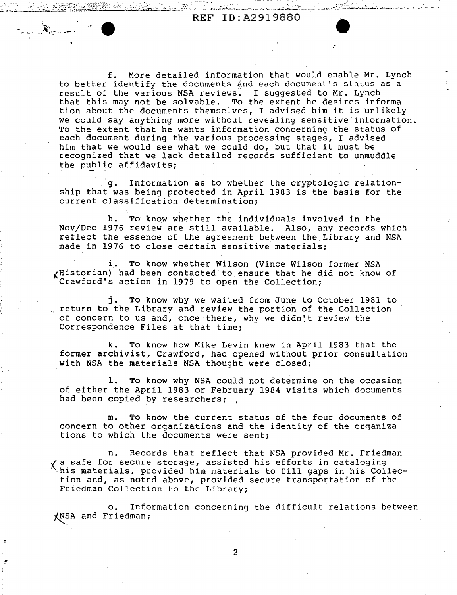, . . . . . . .  $\sim$ 

 $\sim$ ' ~:- . ---·· .. ··'

> f. More detailed information that would enable Mr. Lynch to better identify the documents and each document's status as a result of the various NSA reviews. I suggested to Mr. Lynch that this may not be solvable. To the extent he desires information about the documents themselves, I advised him it is unlikely we could say anything more without revealing sensitive information. To the extent that he wants information concerning the status of each document during the various processing stages, I advised him that we would see what we could do, but that it must be recognized that we lack detailed records sufficient to unmuddle the public affidavits;

. g. Information as to whether the cryptologic relationship that was being protected in April 1983 is the basis for the current classification determination;

h. To know whether the individuals involved in the Nov/Dec 1976 review are still available. Also, any records which reflect the essence of the agreement between the Library and NSA made in 1976 to close certain sensitive materials;

i\_. To know whether Wilson (Vince Wilson former NSA ~Historian) had been contacted to ensure that he d\_id not know of Crawford's action in 1979 to open the Collection;

j. To know why we waited from June to October 1981 to return to the Library and review the portion of the Collection of concern to us and, once there, why we didn't review the Correspondence Files at that time;

k. To know how Mike Levin knew in April 1983 that the former archivist, Crawford, had opened without prior consultation with NSA the materials NSA thought were closed;

1. To know why NSA could not determine on the occasion of either the April 1983 or February 1984 visits which documents had been copied by researchers;

m. To know the current status of the four documents of concern to other organizations and the identity of the organizations to which the documents were sent;

n. Records that reflect that NSA provided Mr. Friedman ~a safe for secure storage, assisted his efforts in cataloging -his materials, provided him materials to fill gaps in his Collection and, as noted above, provided secure transportation of the Friedman Collection to the Library;

o. Information concerning the difficult relations between XNSA and Friedman.;